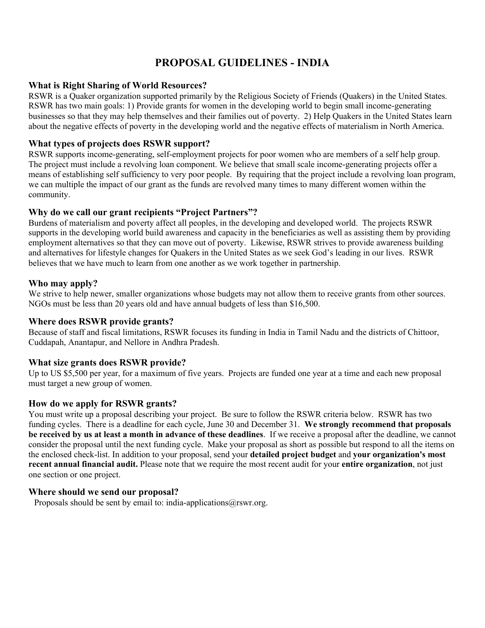# **PROPOSAL GUIDELINES - INDIA**

#### **What is Right Sharing of World Resources?**

RSWR is a Quaker organization supported primarily by the Religious Society of Friends (Quakers) in the United States. RSWR has two main goals: 1) Provide grants for women in the developing world to begin small income-generating businesses so that they may help themselves and their families out of poverty. 2) Help Quakers in the United States learn about the negative effects of poverty in the developing world and the negative effects of materialism in North America.

## **What types of projects does RSWR support?**

RSWR supports income-generating, self-employment projects for poor women who are members of a self help group. The project must include a revolving loan component. We believe that small scale income-generating projects offer a means of establishing self sufficiency to very poor people. By requiring that the project include a revolving loan program, we can multiple the impact of our grant as the funds are revolved many times to many different women within the community.

### **Why do we call our grant recipients "Project Partners"?**

Burdens of materialism and poverty affect all peoples, in the developing and developed world. The projects RSWR supports in the developing world build awareness and capacity in the beneficiaries as well as assisting them by providing employment alternatives so that they can move out of poverty. Likewise, RSWR strives to provide awareness building and alternatives for lifestyle changes for Quakers in the United States as we seek God's leading in our lives. RSWR believes that we have much to learn from one another as we work together in partnership.

#### **Who may apply?**

We strive to help newer, smaller organizations whose budgets may not allow them to receive grants from other sources. NGOs must be less than 20 years old and have annual budgets of less than \$16,500.

#### **Where does RSWR provide grants?**

Because of staff and fiscal limitations, RSWR focuses its funding in India in Tamil Nadu and the districts of Chittoor, Cuddapah, Anantapur, and Nellore in Andhra Pradesh.

## **What size grants does RSWR provide?**

Up to US \$5,500 per year, for a maximum of five years. Projects are funded one year at a time and each new proposal must target a new group of women.

## **How do we apply for RSWR grants?**

You must write up a proposal describing your project. Be sure to follow the RSWR criteria below. RSWR has two funding cycles. There is a deadline for each cycle, June 30 and December 31. **We strongly recommend that proposals be received by us at least a month in advance of these deadlines**. If we receive a proposal after the deadline, we cannot consider the proposal until the next funding cycle. Make your proposal as short as possible but respond to all the items on the enclosed check-list. In addition to your proposal, send your **detailed project budget** and **your organization's most recent annual financial audit.** Please note that we require the most recent audit for your **entire organization**, not just one section or one project.

#### **Where should we send our proposal?**

Proposals should be sent by email to: india-applications $@rswr.org$ .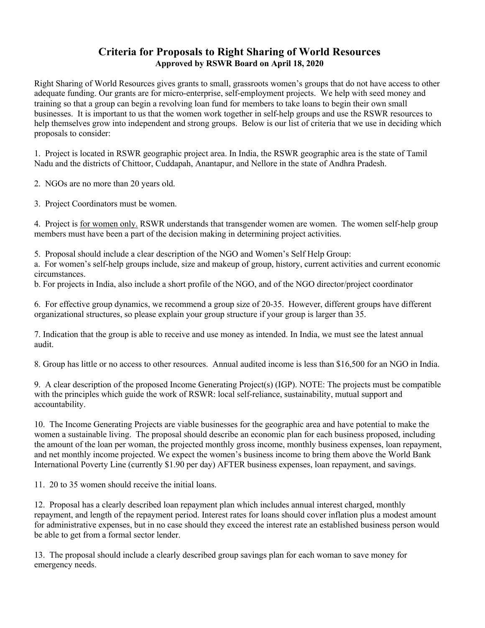## **Criteria for Proposals to Right Sharing of World Resources Approved by RSWR Board on April 18, 2020**

Right Sharing of World Resources gives grants to small, grassroots women's groups that do not have access to other adequate funding. Our grants are for micro-enterprise, self-employment projects. We help with seed money and training so that a group can begin a revolving loan fund for members to take loans to begin their own small businesses. It is important to us that the women work together in self-help groups and use the RSWR resources to help themselves grow into independent and strong groups. Below is our list of criteria that we use in deciding which proposals to consider:

1. Project is located in RSWR geographic project area. In India, the RSWR geographic area is the state of Tamil Nadu and the districts of Chittoor, Cuddapah, Anantapur, and Nellore in the state of Andhra Pradesh.

2. NGOs are no more than 20 years old.

3. Project Coordinators must be women.

4. Project is for women only. RSWR understands that transgender women are women. The women self-help group members must have been a part of the decision making in determining project activities.

5. Proposal should include a clear description of the NGO and Women's Self Help Group:

a. For women's self-help groups include, size and makeup of group, history, current activities and current economic circumstances.

b. For projects in India, also include a short profile of the NGO, and of the NGO director/project coordinator

6. For effective group dynamics, we recommend a group size of 20-35. However, different groups have different organizational structures, so please explain your group structure if your group is larger than 35.

7. Indication that the group is able to receive and use money as intended. In India, we must see the latest annual audit.

8. Group has little or no access to other resources. Annual audited income is less than \$16,500 for an NGO in India.

9. A clear description of the proposed Income Generating Project(s) (IGP). NOTE: The projects must be compatible with the principles which guide the work of RSWR: local self-reliance, sustainability, mutual support and accountability.

10. The Income Generating Projects are viable businesses for the geographic area and have potential to make the women a sustainable living. The proposal should describe an economic plan for each business proposed, including the amount of the loan per woman, the projected monthly gross income, monthly business expenses, loan repayment, and net monthly income projected. We expect the women's business income to bring them above the World Bank International Poverty Line (currently \$1.90 per day) AFTER business expenses, loan repayment, and savings.

11. 20 to 35 women should receive the initial loans.

12. Proposal has a clearly described loan repayment plan which includes annual interest charged, monthly repayment, and length of the repayment period. Interest rates for loans should cover inflation plus a modest amount for administrative expenses, but in no case should they exceed the interest rate an established business person would be able to get from a formal sector lender.

13. The proposal should include a clearly described group savings plan for each woman to save money for emergency needs.